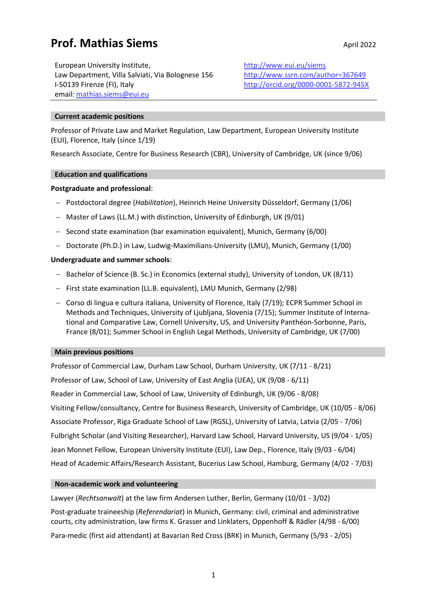# **Prof. Mathias Siems** April 2022

European University Institute, Law Department, Villa Salviati, Via Bolognese 156 I-50139 Firenze (FI), Italy email: [mathias.siems@eui.eu](mailto:mathias.siems@eui.eu)

<http://www.eui.eu/siems> <http://www.ssrn.com/author=367649> <http://orcid.org/0000-0001-5872-945X>

# **Current academic positions**

Professor of Private Law and Market Regulation, Law Department, European University Institute (EUI), Florence, Italy (since 1/19)

Research Associate, Centre for Business Research (CBR), University of Cambridge, UK (since 9/06)

## **Education and qualifications**

## **Postgraduate and professional**:

- − Postdoctoral degree (*Habilitation*), Heinrich Heine University Düsseldorf, Germany (1/06)
- − Master of Laws (LL.M.) with distinction, University of Edinburgh, UK (9/01)
- − Second state examination (bar examination equivalent), Munich, Germany (6/00)
- − Doctorate (Ph.D.) in Law, Ludwig-Maximilians-University (LMU), Munich, Germany (1/00)

## **Undergraduate and summer schools**:

- − Bachelor of Science (B. Sc.) in Economics (external study), University of London, UK (8/11)
- − First state examination (LL.B. equivalent), LMU Munich, Germany (2/98)
- − Corso di lingua e cultura italiana, University of Florence, Italy (7/19); ECPR Summer School in Methods and Techniques, University of Ljubljana, Slovenia (7/15); Summer Institute of International and Comparative Law, Cornell University, US, and University Panthéon-Sorbonne, Paris, France (8/01); Summer School in English Legal Methods, University of Cambridge, UK (7/00)

## **Main previous positions**

Professor of Commercial Law, Durham Law School, Durham University, UK (7/11 - 8/21) Professor of Law, School of Law, University of East Anglia (UEA), UK (9/08 - 6/11) Reader in Commercial Law, School of Law, University of Edinburgh, UK (9/06 - 8/08) Visiting Fellow/consultancy, Centre for Business Research, University of Cambridge, UK (10/05 - 8/06) Associate Professor, Riga Graduate School of Law (RGSL), University of Latvia, Latvia (2/05 - 7/06) Fulbright Scholar (and Visiting Researcher), Harvard Law School, Harvard University, US (9/04 - 1/05) Jean Monnet Fellow, European University Institute (EUI), Law Dep., Florence, Italy (9/03 - 6/04) Head of Academic Affairs/Research Assistant, Bucerius Law School, Hamburg, Germany (4/02 - 7/03)

## **Non-academic work and volunteering**

Lawyer (*Rechtsanwalt*) at the law firm Andersen Luther, Berlin, Germany (10/01 - 3/02)

Post-graduate traineeship (*Referendariat*) in Munich, Germany: civil, criminal and administrative courts, city administration, law firms K. Grasser and Linklaters, Oppenhoff & Rädler (4/98 - 6/00)

Para-medic (first aid attendant) at Bavarian Red Cross (BRK) in Munich, Germany (5/93 - 2/05)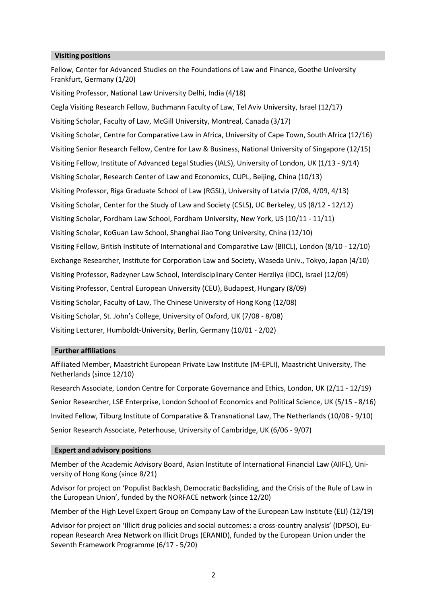#### **Visiting positions**

Fellow, Center for Advanced Studies on the Foundations of Law and Finance, Goethe University Frankfurt, Germany (1/20)

Visiting Professor, National Law University Delhi, India (4/18)

Cegla Visiting Research Fellow, Buchmann Faculty of Law, Tel Aviv University, Israel (12/17) Visiting Scholar, Faculty of Law, McGill University, Montreal, Canada (3/17) Visiting Scholar, Centre for Comparative Law in Africa, University of Cape Town, South Africa (12/16) Visiting Senior Research Fellow, Centre for Law & Business, National University of Singapore (12/15) Visiting Fellow, Institute of Advanced Legal Studies (IALS), University of London, UK (1/13 - 9/14) Visiting Scholar, Research Center of Law and Economics, CUPL, Beijing, China (10/13) Visiting Professor, Riga Graduate School of Law (RGSL), University of Latvia (7/08, 4/09, 4/13) Visiting Scholar, Center for the Study of Law and Society (CSLS), UC Berkeley, US (8/12 - 12/12) Visiting Scholar, Fordham Law School, Fordham University, New York, US (10/11 - 11/11) Visiting Scholar, KoGuan Law School, Shanghai Jiao Tong University, China (12/10) Visiting Fellow, British Institute of International and Comparative Law (BIICL), London (8/10 - 12/10) Exchange Researcher, Institute for Corporation Law and Society, Waseda Univ., Tokyo, Japan (4/10) Visiting Professor, Radzyner Law School, Interdisciplinary Center Herzliya (IDC), Israel (12/09) Visiting Professor, Central European University (CEU), Budapest, Hungary (8/09) Visiting Scholar, Faculty of Law, The Chinese University of Hong Kong (12/08) Visiting Scholar, St. John's College, University of Oxford, UK (7/08 - 8/08) Visiting Lecturer, Humboldt-University, Berlin, Germany (10/01 - 2/02)

#### **Further affiliations**

Affiliated Member, Maastricht European Private Law Institute (M-EPLI), Maastricht University, The Netherlands (since 12/10)

Research Associate, London Centre for Corporate Governance and Ethics, London, UK (2/11 - 12/19) Senior Researcher, LSE Enterprise, London School of Economics and Political Science, UK (5/15 - 8/16) Invited Fellow, Tilburg Institute of Comparative & Transnational Law, The Netherlands (10/08 - 9/10) Senior Research Associate, Peterhouse, University of Cambridge, UK (6/06 - 9/07)

#### **Expert and advisory positions**

Member of the Academic Advisory Board, Asian Institute of International Financial Law (AIIFL), University of Hong Kong (since 8/21)

Advisor for project on 'Populist Backlash, Democratic Backsliding, and the Crisis of the Rule of Law in the European Union', funded by the NORFACE network (since 12/20)

Member of the High Level Expert Group on Company Law of the European Law Institute (ELI) (12/19)

Advisor for project on 'Illicit drug policies and social outcomes: a cross-country analysis' (IDPSO), European Research Area Network on Illicit Drugs (ERANID), funded by the European Union under the Seventh Framework Programme (6/17 - 5/20)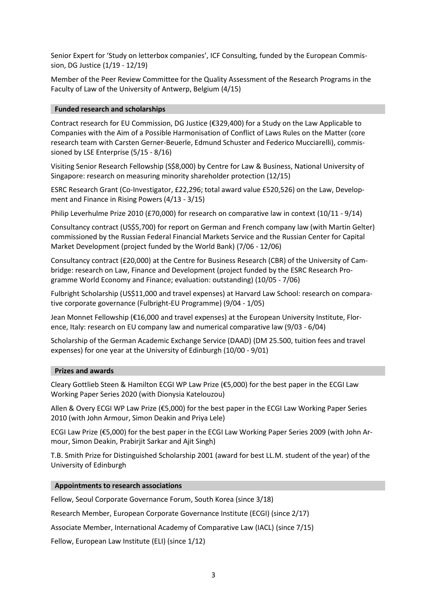Senior Expert for 'Study on letterbox companies', ICF Consulting, funded by the European Commission, DG Justice (1/19 - 12/19)

Member of the Peer Review Committee for the Quality Assessment of the Research Programs in the Faculty of Law of the University of Antwerp, Belgium (4/15)

## **Funded research and scholarships**

Contract research for EU Commission, DG Justice (€329,400) for a Study on the Law Applicable to Companies with the Aim of a Possible Harmonisation of Conflict of Laws Rules on the Matter (core research team with Carsten Gerner-Beuerle, Edmund Schuster and Federico Mucciarelli), commissioned by LSE Enterprise (5/15 - 8/16)

Visiting Senior Research Fellowship (S\$8,000) by Centre for Law & Business, National University of Singapore: research on measuring minority shareholder protection (12/15)

ESRC Research Grant (Co-Investigator, £22,296; total award value £520,526) on the Law, Development and Finance in Rising Powers (4/13 - 3/15)

Philip Leverhulme Prize 2010 (£70,000) for research on comparative law in context (10/11 - 9/14)

Consultancy contract (US\$5,700) for report on German and French company law (with Martin Gelter) commissioned by the Russian Federal Financial Markets Service and the Russian Center for Capital Market Development (project funded by the World Bank) (7/06 - 12/06)

Consultancy contract (£20,000) at the Centre for Business Research (CBR) of the University of Cambridge: research on Law, Finance and Development (project funded by the ESRC Research Programme World Economy and Finance; evaluation: outstanding) (10/05 - 7/06)

Fulbright Scholarship (US\$11,000 and travel expenses) at Harvard Law School: research on comparative corporate governance (Fulbright-EU Programme) (9/04 - 1/05)

Jean Monnet Fellowship (€16,000 and travel expenses) at the European University Institute, Florence, Italy: research on EU company law and numerical comparative law (9/03 - 6/04)

Scholarship of the German Academic Exchange Service (DAAD) (DM 25.500, tuition fees and travel expenses) for one year at the University of Edinburgh (10/00 - 9/01)

#### **Prizes and awards**

Cleary Gottlieb Steen & Hamilton ECGI WP Law Prize (€5,000) for the best paper in the ECGI Law Working Paper Series 2020 (with Dionysia Katelouzou)

Allen & Overy ECGI WP Law Prize (€5,000) for the best paper in the ECGI Law Working Paper Series 2010 (with John Armour, Simon Deakin and Priya Lele)

ECGI Law Prize (€5,000) for the best paper in the ECGI Law Working Paper Series 2009 (with John Armour, Simon Deakin, Prabirjit Sarkar and Ajit Singh)

T.B. Smith Prize for Distinguished Scholarship 2001 (award for best LL.M. student of the year) of the University of Edinburgh

#### **Appointments to research associations**

Fellow, Seoul Corporate Governance Forum, South Korea (since 3/18)

Research Member, European Corporate Governance Institute (ECGI) (since 2/17)

Associate Member, International Academy of Comparative Law (IACL) (since 7/15)

Fellow, European Law Institute (ELI) (since 1/12)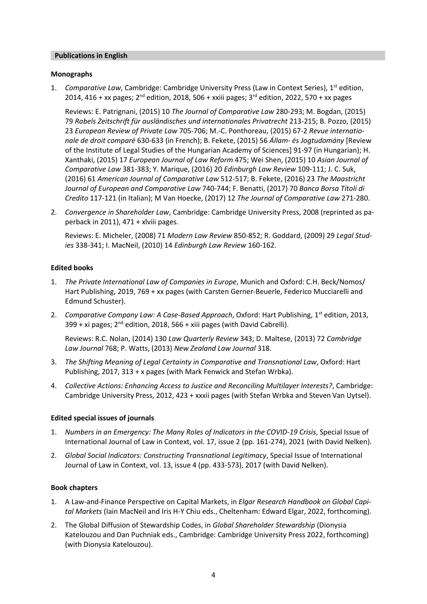#### **Publications in English**

## **Monographs**

1. Comparative Law, Cambridge: Cambridge University Press (Law in Context Series), 1<sup>st</sup> edition, 2014, 416 + xx pages; 2<sup>nd</sup> edition, 2018, 506 + xxiii pages; 3<sup>rd</sup> edition, 2022, 570 + xx pages

Reviews: E. Patrignani, (2015) 10 *The Journal of Comparative Law* 280-293; M. Bogdan, (2015) 79 *Rabels Zeitschrift für ausländisches und internationales Privatrecht* 213-215; B. Pozzo, (2015) 23 *European Review of Private Law* 705-706; M.-C. Ponthoreau, (2015) 67-2 *Revue internationale de droit comparé* 630-633 (in French); B. Fekete, (2015) 56 *Állam- és Jogtudomány* [Review of the Institute of Legal Studies of the Hungarian Academy of Sciences] 91-97 (in Hungarian); H. Xanthaki, (2015) 17 *European Journal of Law Reform* 475; Wei Shen, (2015) 10 *Asian Journal of Comparative Law* 381-383; Y. Marique, (2016) 20 *Edinburgh Law Review* 109-111; J. C. Suk, (2016) 61 *American Journal of Comparative Law* 512-517; B. Fekete, (2016) 23 *The Maastricht Journal of European and Comparative Law* 740-744; F. Benatti, (2017) 70 *Banca Borsa Titoli di Credito* 117-121 (in Italian); M Van Hoecke, (2017) 12 *The Journal of Comparative Law* 271-280.

2. *Convergence in Shareholder Law*, Cambridge: Cambridge University Press, 2008 (reprinted as paperback in 2011), 471 + xlviii pages.

Reviews: E. Micheler, (2008) 71 *Modern Law Review* 850-852; R. Goddard, (2009) 29 *Legal Studies* 338-341; I. MacNeil, (2010) 14 *Edinburgh Law Review* 160-162.

## **Edited books**

- 1. *The Private International Law of Companies in Europe*, Munich and Oxford: C.H. Beck/Nomos/ Hart Publishing, 2019, 769 + xx pages (with Carsten Gerner-Beuerle, Federico Mucciarelli and Edmund Schuster).
- 2. *Comparative Company Law: A Case-Based Approach*, Oxford: Hart Publishing, 1st edition, 2013, 399 + xi pages; 2<sup>nd</sup> edition, 2018, 566 + xiii pages (with David Cabrelli).

Reviews: R.C. Nolan, (2014) 130 *Law Quarterly Review* 343; D. Maltese, (2013) 72 *Cambridge Law Journal* 768; P. Watts, (2013) *New Zealand Law Journal* 318.

- 3. *The Shifting Meaning of Legal Certainty in Comparative and Transnational Law*, Oxford: Hart Publishing, 2017, 313 + x pages (with Mark Fenwick and Stefan Wrbka).
- 4. *Collective Actions: Enhancing Access to Justice and Reconciling Multilayer Interests?*, Cambridge: Cambridge University Press, 2012, 423 + xxxii pages (with Stefan Wrbka and Steven Van Uytsel).

## **Edited special issues of journals**

- 1. *Numbers in an Emergency: The Many Roles of Indicators in the COVID-19 Crisis*, Special Issue of International Journal of Law in Context, vol. 17, issue 2 (pp. 161-274), 2021 (with David Nelken).
- 2. *Global Social Indicators: Constructing Transnational Legitimacy*, Special Issue of International Journal of Law in Context, vol. 13, issue 4 (pp. 433-573), 2017 (with David Nelken).

#### **Book chapters**

- 1. A Law-and-Finance Perspective on Capital Markets, in *Elgar Research Handbook on Global Capital Markets* (Iain MacNeil and Iris H-Y Chiu eds., Cheltenham: Edward Elgar, 2022, forthcoming).
- 2. The Global Diffusion of Stewardship Codes, in *Global Shareholder Stewardship* (Dionysia Katelouzou and Dan Puchniak eds., Cambridge: Cambridge University Press 2022, forthcoming) (with Dionysia Katelouzou).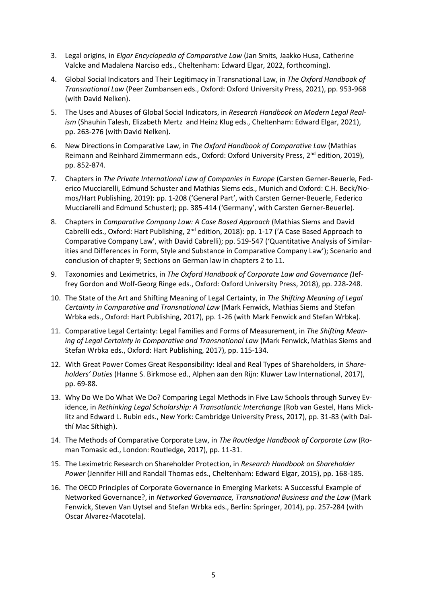- 3. Legal origins, in *Elgar Encyclopedia of Comparative Law* (Jan Smits, Jaakko Husa, Catherine Valcke and Madalena Narciso eds., Cheltenham: Edward Elgar, 2022, forthcoming).
- 4. Global Social Indicators and Their Legitimacy in Transnational Law, in *The Oxford Handbook of Transnational Law* (Peer Zumbansen eds., Oxford: Oxford University Press, 2021), pp. 953-968 (with David Nelken).
- 5. The Uses and Abuses of Global Social Indicators, in *Research Handbook on Modern Legal Realism* (Shauhin Talesh, Elizabeth Mertz and Heinz Klug eds., Cheltenham: Edward Elgar, 2021), pp. 263-276 (with David Nelken).
- 6. New Directions in Comparative Law, in *The Oxford Handbook of Comparative Law* (Mathias Reimann and Reinhard Zimmermann eds., Oxford: Oxford University Press, 2<sup>nd</sup> edition, 2019), pp. 852-874.
- 7. Chapters in *The Private International Law of Companies in Europe* (Carsten Gerner-Beuerle, Federico Mucciarelli, Edmund Schuster and Mathias Siems eds., Munich and Oxford: C.H. Beck/Nomos/Hart Publishing, 2019): pp. 1-208 ('General Part', with Carsten Gerner-Beuerle, Federico Mucciarelli and Edmund Schuster); pp. 385-414 ('Germany', with Carsten Gerner-Beuerle).
- 8. Chapters in *Comparative Company Law: A Case Based Approach* (Mathias Siems and David Cabrelli eds., Oxford: Hart Publishing, 2<sup>nd</sup> edition, 2018): pp. 1-17 ('A Case Based Approach to Comparative Company Law', with David Cabrelli); pp. 519-547 ('Quantitative Analysis of Similarities and Differences in Form, Style and Substance in Comparative Company Law'); Scenario and conclusion of chapter 9; Sections on German law in chapters 2 to 11.
- 9. Taxonomies and Leximetrics, in *The Oxford Handbook of Corporate Law and Governance (*Jeffrey Gordon and Wolf-Georg Ringe eds., Oxford: Oxford University Press, 2018), pp. 228-248.
- 10. The State of the Art and Shifting Meaning of Legal Certainty, in *The Shifting Meaning of Legal Certainty in Comparative and Transnational Law* (Mark Fenwick, Mathias Siems and Stefan Wrbka eds., Oxford: Hart Publishing, 2017), pp. 1-26 (with Mark Fenwick and Stefan Wrbka).
- 11. Comparative Legal Certainty: Legal Families and Forms of Measurement, in *The Shifting Meaning of Legal Certainty in Comparative and Transnational Law* (Mark Fenwick, Mathias Siems and Stefan Wrbka eds., Oxford: Hart Publishing, 2017), pp. 115-134.
- 12. With Great Power Comes Great Responsibility: Ideal and Real Types of Shareholders, in *Shareholders' Duties* (Hanne S. Birkmose ed., Alphen aan den Rijn: Kluwer Law International, 2017), pp. 69-88.
- 13. Why Do We Do What We Do? Comparing Legal Methods in Five Law Schools through Survey Evidence, in *Rethinking Legal Scholarship: A Transatlantic Interchange* (Rob van Gestel, Hans Micklitz and Edward L. Rubin eds., New York: Cambridge University Press, 2017), pp. 31-83 (with Daithí Mac Síthigh).
- 14. The Methods of Comparative Corporate Law, in *The Routledge Handbook of Corporate Law* (Roman Tomasic ed., London: Routledge, 2017), pp. 11-31.
- 15. The Leximetric Research on Shareholder Protection, in *Research Handbook on Shareholder Power* (Jennifer Hill and Randall Thomas eds., Cheltenham: Edward Elgar, 2015), pp. 168-185.
- 16. The OECD Principles of Corporate Governance in Emerging Markets: A Successful Example of Networked Governance?, in *Networked Governance, Transnational Business and the Law* (Mark Fenwick, Steven Van Uytsel and Stefan Wrbka eds., Berlin: Springer, 2014), pp. 257-284 (with Oscar Alvarez-Macotela).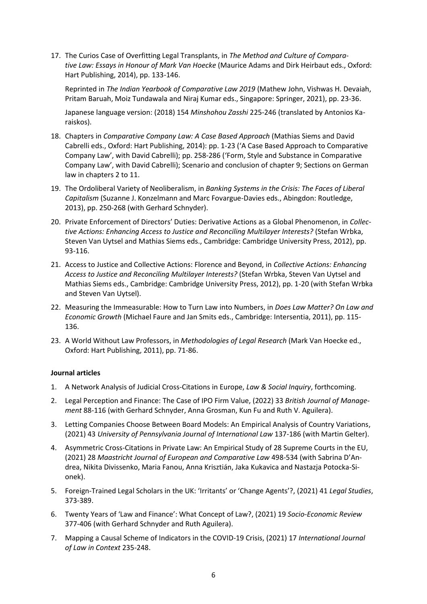17. The Curios Case of Overfitting Legal Transplants, in *The Method and Culture of Comparative Law: Essays in Honour of Mark Van Hoecke* (Maurice Adams and Dirk Heirbaut eds., Oxford: Hart Publishing, 2014), pp. 133-146.

Reprinted in *The Indian Yearbook of Comparative Law 2019* (Mathew John, Vishwas H. Devaiah, Pritam Baruah, Moiz Tundawala and Niraj Kumar eds., Singapore: Springer, 2021), pp. 23-36.

Japanese language version: (2018) 154 *Minshohou Zasshi* 225-246 (translated by Antonios Karaiskos).

- 18. Chapters in *Comparative Company Law: A Case Based Approach* (Mathias Siems and David Cabrelli eds., Oxford: Hart Publishing, 2014): pp. 1-23 ('A Case Based Approach to Comparative Company Law', with David Cabrelli); pp. 258-286 ('Form, Style and Substance in Comparative Company Law', with David Cabrelli); Scenario and conclusion of chapter 9; Sections on German law in chapters 2 to 11.
- 19. The Ordoliberal Variety of Neoliberalism, in *Banking Systems in the Crisis: The Faces of Liberal Capitalism* (Suzanne J. Konzelmann and Marc Fovargue-Davies eds., Abingdon: Routledge, 2013), pp. 250-268 (with Gerhard Schnyder).
- 20. Private Enforcement of Directors' Duties: Derivative Actions as a Global Phenomenon, in *Collective Actions: Enhancing Access to Justice and Reconciling Multilayer Interests?* (Stefan Wrbka, Steven Van Uytsel and Mathias Siems eds., Cambridge: Cambridge University Press, 2012), pp. 93-116.
- 21. Access to Justice and Collective Actions: Florence and Beyond, in *Collective Actions: Enhancing Access to Justice and Reconciling Multilayer Interests?* (Stefan Wrbka, Steven Van Uytsel and Mathias Siems eds., Cambridge: Cambridge University Press, 2012), pp. 1-20 (with Stefan Wrbka and Steven Van Uytsel).
- 22. Measuring the Immeasurable: How to Turn Law into Numbers, in *Does Law Matter? On Law and Economic Growth* (Michael Faure and Jan Smits eds., Cambridge: Intersentia, 2011), pp. 115- 136.
- 23. A World Without Law Professors, in *Methodologies of Legal Research* (Mark Van Hoecke ed., Oxford: Hart Publishing, 2011), pp. 71-86.

## **Journal articles**

- 1. A Network Analysis of Judicial Cross-Citations in Europe, *Law & Social Inquiry*, forthcoming.
- 2. Legal Perception and Finance: The Case of IPO Firm Value, (2022) 33 *British Journal of Management* 88-116 (with Gerhard Schnyder, Anna Grosman, Kun Fu and Ruth V. Aguilera).
- 3. Letting Companies Choose Between Board Models: An Empirical Analysis of Country Variations, (2021) 43 *University of Pennsylvania Journal of International Law* 137-186 (with Martin Gelter).
- 4. Asymmetric Cross-Citations in Private Law: An Empirical Study of 28 Supreme Courts in the EU, (2021) 28 *Maastricht Journal of European and Comparative Law* 498-534 (with Sabrina D'Andrea, Nikita Divissenko, Maria Fanou, Anna Krisztián, Jaka Kukavica and Nastazja Potocka-Sionek).
- 5. Foreign-Trained Legal Scholars in the UK: 'Irritants' or 'Change Agents'?, (2021) 41 *Legal Studies*, 373-389.
- 6. Twenty Years of 'Law and Finance': What Concept of Law?, (2021) 19 *Socio-Economic Review* 377-406 (with Gerhard Schnyder and Ruth Aguilera).
- 7. Mapping a Causal Scheme of Indicators in the COVID-19 Crisis, (2021) 17 *International Journal of Law in Context* 235-248.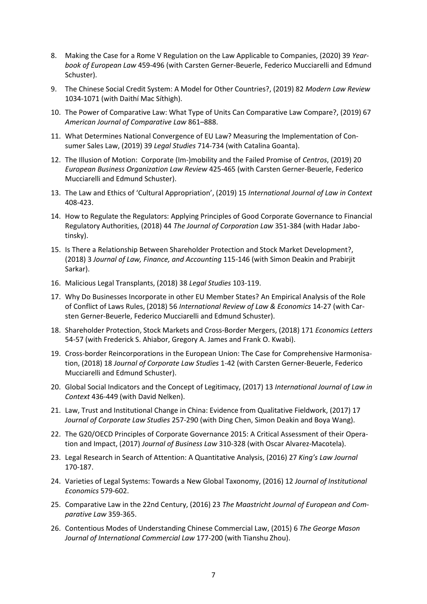- 8. Making the Case for a Rome V Regulation on the Law Applicable to Companies, (2020) 39 *Yearbook of European Law* 459-496 (with Carsten Gerner-Beuerle, Federico Mucciarelli and Edmund Schuster).
- 9. The Chinese Social Credit System: A Model for Other Countries?, (2019) 82 *Modern Law Review* 1034-1071 (with Daithí Mac Síthigh).
- 10. The Power of Comparative Law: What Type of Units Can Comparative Law Compare?, (2019) 67 *American Journal of Comparative Law* 861–888.
- 11. What Determines National Convergence of EU Law? Measuring the Implementation of Consumer Sales Law, (2019) 39 *Legal Studies* 714-734 (with Catalina Goanta).
- 12. The Illusion of Motion: Corporate (Im-)mobility and the Failed Promise of *Centros*, (2019) 20 *European Business Organization Law Review* 425-465 (with Carsten Gerner-Beuerle, Federico Mucciarelli and Edmund Schuster).
- 13. The Law and Ethics of 'Cultural Appropriation', (2019) 15 *International Journal of Law in Context* 408-423.
- 14. How to Regulate the Regulators: Applying Principles of Good Corporate Governance to Financial Regulatory Authorities, (2018) 44 *The Journal of Corporation Law* 351-384 (with Hadar Jabotinsky).
- 15. Is There a Relationship Between Shareholder Protection and Stock Market Development?, (2018) 3 *Journal of Law, Finance, and Accounting* 115-146 (with Simon Deakin and Prabirjit Sarkar).
- 16. Malicious Legal Transplants, (2018) 38 *Legal Studies* 103-119.
- 17. Why Do Businesses Incorporate in other EU Member States? An Empirical Analysis of the Role of Conflict of Laws Rules, (2018) 56 *International Review of Law & Economics* 14-27 (with Carsten Gerner-Beuerle, Federico Mucciarelli and Edmund Schuster).
- 18. Shareholder Protection, Stock Markets and Cross-Border Mergers, (2018) 171 *Economics Letters* 54-57 (with Frederick S. Ahiabor, Gregory A. James and Frank O. Kwabi).
- 19. Cross-border Reincorporations in the European Union: The Case for Comprehensive Harmonisation, (2018) 18 *Journal of Corporate Law Studies* 1-42 (with Carsten Gerner-Beuerle, Federico Mucciarelli and Edmund Schuster).
- 20. Global Social Indicators and the Concept of Legitimacy, (2017) 13 *International Journal of Law in Context* 436-449 (with David Nelken).
- 21. Law, Trust and Institutional Change in China: Evidence from Qualitative Fieldwork, (2017) 17 *Journal of Corporate Law Studies* 257-290 (with Ding Chen, Simon Deakin and Boya Wang).
- 22. The G20/OECD Principles of Corporate Governance 2015: A Critical Assessment of their Operation and Impact, (2017) *Journal of Business Law* 310-328 (with Oscar Alvarez-Macotela).
- 23. Legal Research in Search of Attention: A Quantitative Analysis, (2016) 27 *King's Law Journal* 170-187.
- 24. Varieties of Legal Systems: Towards a New Global Taxonomy, (2016) 12 *Journal of Institutional Economics* 579-602.
- 25. Comparative Law in the 22nd Century, (2016) 23 *The Maastricht Journal of European and Comparative Law* 359-365.
- 26. Contentious Modes of Understanding Chinese Commercial Law, (2015) 6 *The George Mason Journal of International Commercial Law* 177-200 (with Tianshu Zhou).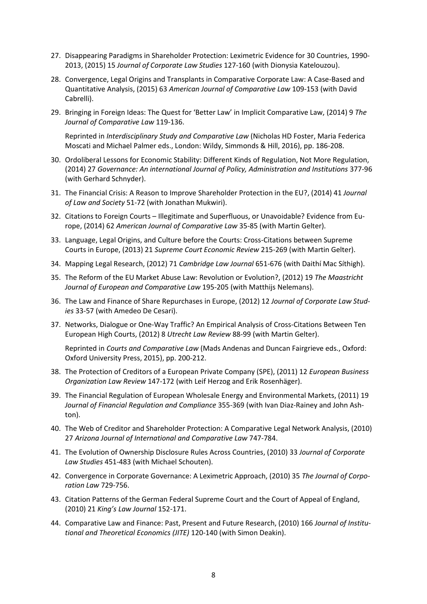- 27. Disappearing Paradigms in Shareholder Protection: Leximetric Evidence for 30 Countries, 1990- 2013, (2015) 15 *Journal of Corporate Law Studies* 127-160 (with Dionysia Katelouzou).
- 28. Convergence, Legal Origins and Transplants in Comparative Corporate Law: A Case-Based and Quantitative Analysis, (2015) 63 *American Journal of Comparative Law* 109-153 (with David Cabrelli).
- 29. Bringing in Foreign Ideas: The Quest for 'Better Law' in Implicit Comparative Law, (2014) 9 *The Journal of Comparative Law* 119-136.

Reprinted in *Interdisciplinary Study and Comparative Law* (Nicholas HD Foster, Maria Federica Moscati and Michael Palmer eds., London: Wildy, Simmonds & Hill, 2016), pp. 186-208.

- 30. Ordoliberal Lessons for Economic Stability: Different Kinds of Regulation, Not More Regulation, (2014) 27 *Governance: An international Journal of Policy, Administration and Institutions* 377-96 (with Gerhard Schnyder).
- 31. The Financial Crisis: A Reason to Improve Shareholder Protection in the EU?, (2014) 41 *Journal of Law and Society* 51-72 (with Jonathan Mukwiri).
- 32. Citations to Foreign Courts Illegitimate and Superfluous, or Unavoidable? Evidence from Europe, (2014) 62 *American Journal of Comparative Law* 35-85 (with Martin Gelter).
- 33. Language, Legal Origins, and Culture before the Courts: Cross-Citations between Supreme Courts in Europe, (2013) 21 *Supreme Court Economic Review* 215-269 (with Martin Gelter).
- 34. Mapping Legal Research, (2012) 71 *Cambridge Law Journal* 651-676 (with Daithí Mac Síthigh).
- 35. The Reform of the EU Market Abuse Law: Revolution or Evolution?, (2012) 19 *The Maastricht Journal of European and Comparative Law* 195-205 (with Matthijs Nelemans).
- 36. The Law and Finance of Share Repurchases in Europe, (2012) 12 *Journal of Corporate Law Studies* 33-57 (with Amedeo De Cesari).
- 37. Networks, Dialogue or One-Way Traffic? An Empirical Analysis of Cross-Citations Between Ten European High Courts, (2012) 8 *Utrecht Law Review* 88-99 (with Martin Gelter).

Reprinted in *Courts and Comparative Law* (Mads Andenas and Duncan Fairgrieve eds., Oxford: Oxford University Press, 2015), pp. 200-212.

- 38. The Protection of Creditors of a European Private Company (SPE), (2011) 12 *European Business Organization Law Review* 147-172 (with Leif Herzog and Erik Rosenhäger).
- 39. The Financial Regulation of European Wholesale Energy and Environmental Markets, (2011) 19 *Journal of Financial Regulation and Compliance* 355-369 (with Ivan Diaz-Rainey and John Ashton).
- 40. The Web of Creditor and Shareholder Protection: A Comparative Legal Network Analysis, (2010) 27 *Arizona Journal of International and Comparative Law* 747-784.
- 41. The Evolution of Ownership Disclosure Rules Across Countries, (2010) 33 *Journal of Corporate Law Studies* 451-483 (with Michael Schouten).
- 42. Convergence in Corporate Governance: A Leximetric Approach, (2010) 35 *The Journal of Corporation Law* 729-756.
- 43. Citation Patterns of the German Federal Supreme Court and the Court of Appeal of England, (2010) 21 *King's Law Journal* 152-171.
- 44. Comparative Law and Finance: Past, Present and Future Research, (2010) 166 *Journal of Institutional and Theoretical Economics (JITE)* 120-140 (with Simon Deakin).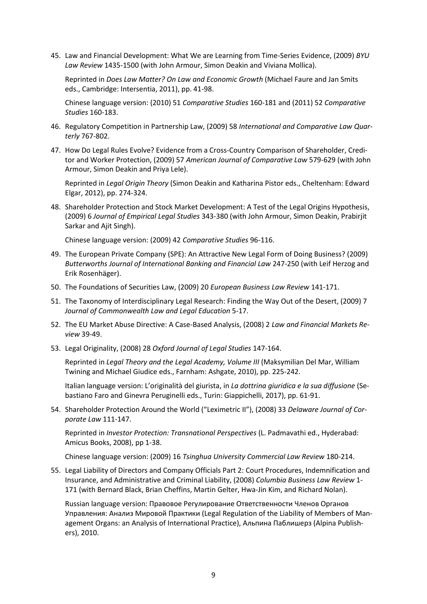45. Law and Financial Development: What We are Learning from Time-Series Evidence, (2009) *BYU Law Review* 1435-1500 (with John Armour, Simon Deakin and Viviana Mollica).

Reprinted in *Does Law Matter? On Law and Economic Growth* (Michael Faure and Jan Smits eds., Cambridge: Intersentia, 2011), pp. 41-98.

Chinese language version: (2010) 51 *Comparative Studies* 160-181 and (2011) 52 *Comparative Studies* 160-183.

- 46. Regulatory Competition in Partnership Law, (2009) 58 *International and Comparative Law Quarterly* 767-802.
- 47. How Do Legal Rules Evolve? Evidence from a Cross-Country Comparison of Shareholder, Creditor and Worker Protection, (2009) 57 *American Journal of Comparative Law* 579-629 (with John Armour, Simon Deakin and Priya Lele).

Reprinted in *Legal Origin Theory* (Simon Deakin and Katharina Pistor eds., Cheltenham: Edward Elgar, 2012), pp. 274-324.

48. Shareholder Protection and Stock Market Development: A Test of the Legal Origins Hypothesis, (2009) 6 *Journal of Empirical Legal Studies* 343-380 (with John Armour, Simon Deakin, Prabirjit Sarkar and Ajit Singh).

Chinese language version: (2009) 42 *Comparative Studies* 96-116.

- 49. The European Private Company (SPE): An Attractive New Legal Form of Doing Business? (2009) *Butterworths Journal of International Banking and Financial Law* 247-250 (with Leif Herzog and Erik Rosenhäger).
- 50. The Foundations of Securities Law, (2009) 20 *European Business Law Review* 141-171.
- 51. The Taxonomy of Interdisciplinary Legal Research: Finding the Way Out of the Desert, (2009) 7 *Journal of Commonwealth Law and Legal Education* 5-17.
- 52. The EU Market Abuse Directive: A Case-Based Analysis, (2008) 2 *Law and Financial Markets Review* 39-49.
- 53. Legal Originality, (2008) 28 *Oxford Journal of Legal Studies* 147-164.

Reprinted in *Legal Theory and the Legal Academy, Volume III* (Maksymilian Del Mar, William Twining and Michael Giudice eds., Farnham: Ashgate, 2010), pp. 225-242.

Italian language version: L'originalità del giurista, in *La dottrina giuridica e la sua diffusione* (Sebastiano Faro and Ginevra Peruginelli eds., Turin: Giappichelli, 2017), pp. 61-91.

54. Shareholder Protection Around the World ("Leximetric II"), (2008) 33 *Delaware Journal of Corporate Law* 111-147.

Reprinted in *Investor Protection: Transnational Perspectives* (L. Padmavathi ed., Hyderabad: Amicus Books, 2008), pp 1-38.

Chinese language version: (2009) 16 *Tsinghua University Commercial Law Review* 180-214.

<span id="page-8-0"></span>55. Legal Liability of Directors and Company Officials Part 2: Court Procedures, Indemnification and Insurance, and Administrative and Criminal Liability, (2008) *Columbia Business Law Review* 1- 171 (with Bernard Black, Brian Cheffins, Martin Gelter, Hwa-Jin Kim, and Richard Nolan).

Russian language version: Правовое Регулирование Ответственности Членов Органов Управления: Анализ Мировой Практики (Legal Regulation of the Liability of Members of Management Organs: an Analysis of International Practice), Альпина Паблишерз (Alpina Publishers), 2010.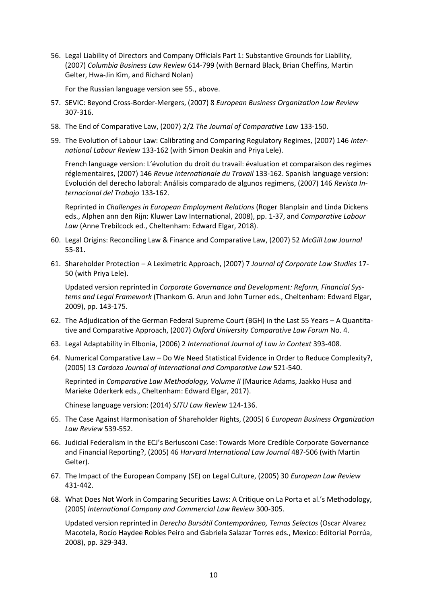56. Legal Liability of Directors and Company Officials Part 1: Substantive Grounds for Liability, (2007) *Columbia Business Law Review* 614-799 (with Bernard Black, Brian Cheffins, Martin Gelter, Hwa-Jin Kim, and Richard Nolan)

For the Russian language version see [55.](#page-8-0), above.

- 57. SEVIC: Beyond Cross-Border-Mergers, (2007) 8 *European Business Organization Law Review* 307-316.
- 58. The End of Comparative Law, (2007) 2/2 *The Journal of Comparative Law* 133-150.
- 59. The Evolution of Labour Law: Calibrating and Comparing Regulatory Regimes, (2007) 146 *International Labour Review* 133-162 (with Simon Deakin and Priya Lele).

French language version: L'évolution du droit du travail: évaluation et comparaison des regimes réglementaires, (2007) 146 *Revue internationale du Travail* 133-162. Spanish language version: Evolución del derecho laboral: Análisis comparado de algunos regimens, (2007) 146 *Revista Internacional del Trabajo* 133-162.

Reprinted in *Challenges in European Employment Relations* (Roger Blanplain and Linda Dickens eds., Alphen ann den Rijn: Kluwer Law International, 2008), pp. 1-37, and *Comparative Labour Law* (Anne Trebilcock ed., Cheltenham: Edward Elgar, 2018).

- 60. Legal Origins: Reconciling Law & Finance and Comparative Law, (2007) 52 *McGill Law Journal* 55-81.
- 61. Shareholder Protection A Leximetric Approach, (2007) 7 *Journal of Corporate Law Studies* 17- 50 (with Priya Lele).

Updated version reprinted in *Corporate Governance and Development: Reform, Financial Systems and Legal Framework* (Thankom G. Arun and John Turner eds., Cheltenham: Edward Elgar, 2009), pp. 143-175.

- 62. The Adjudication of the German Federal Supreme Court (BGH) in the Last 55 Years A Quantitative and Comparative Approach, (2007) *Oxford University Comparative Law Forum* No. 4.
- 63. Legal Adaptability in Elbonia, (2006) 2 *International Journal of Law in Context* 393-408.
- 64. Numerical Comparative Law Do We Need Statistical Evidence in Order to Reduce Complexity?, (2005) 13 *Cardozo Journal of International and Comparative Law* 521-540.

Reprinted in *Comparative Law Methodology, Volume II* (Maurice Adams, Jaakko Husa and Marieke Oderkerk eds., Cheltenham: Edward Elgar, 2017).

Chinese language version: (2014) *SJTU Law Review* 124-136.

- 65. The Case Against Harmonisation of Shareholder Rights, (2005) 6 *European Business Organization Law Review* 539-552.
- 66. Judicial Federalism in the ECJ's Berlusconi Case: Towards More Credible Corporate Governance and Financial Reporting?, (2005) 46 *Harvard International Law Journal* 487-506 (with Martin Gelter).
- 67. The Impact of the European Company (SE) on Legal Culture, (2005) 30 *European Law Review* 431-442.
- 68. What Does Not Work in Comparing Securities Laws: A Critique on La Porta et al.'s Methodology, (2005) *International Company and Commercial Law Review* 300-305.

Updated version reprinted in *Derecho Bursátil Contemporáneo, Temas Selectos* (Oscar Alvarez Macotela, Rocío Haydee Robles Peiro and Gabriela Salazar Torres eds., Mexico: Editorial Porrúa, 2008), pp. 329-343.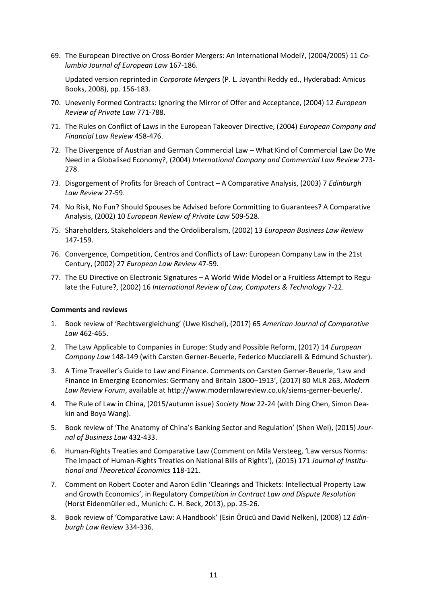69. The European Directive on Cross-Border Mergers: An International Model?, (2004/2005) 11 *Columbia Journal of European Law* 167-186.

Updated version reprinted in *Corporate Mergers* (P. L. Jayanthi Reddy ed., Hyderabad: Amicus Books, 2008), pp. 156-183.

- 70. Unevenly Formed Contracts: Ignoring the Mirror of Offer and Acceptance, (2004) 12 *European Review of Private Law* 771-788.
- 71. The Rules on Conflict of Laws in the European Takeover Directive, (2004) *European Company and Financial Law Review* 458-476.
- 72. The Divergence of Austrian and German Commercial Law What Kind of Commercial Law Do We Need in a Globalised Economy?, (2004) *International Company and Commercial Law Review* 273- 278.
- 73. Disgorgement of Profits for Breach of Contract A Comparative Analysis, (2003) 7 *Edinburgh Law Review* 27-59.
- 74. No Risk, No Fun? Should Spouses be Advised before Committing to Guarantees? A Comparative Analysis, (2002) 10 *European Review of Private Law* 509-528.
- 75. Shareholders, Stakeholders and the Ordoliberalism, (2002) 13 *European Business Law Review* 147-159.
- 76. Convergence, Competition, Centros and Conflicts of Law: European Company Law in the 21st Century, (2002) 27 *European Law Review* 47-59.
- 77. The EU Directive on Electronic Signatures A World Wide Model or a Fruitless Attempt to Regulate the Future?, (2002) 16 *International Review of Law, Computers & Technology* 7-22.

## **Comments and reviews**

- 1. Book review of 'Rechtsvergleichung' (Uwe Kischel), (2017) 65 *American Journal of Comparative Law* 462-465.
- 2. The Law Applicable to Companies in Europe: Study and Possible Reform, (2017) 14 *European Company Law* 148-149 (with Carsten Gerner-Beuerle, Federico Mucciarelli & Edmund Schuster).
- 3. A Time Traveller's Guide to Law and Finance. Comments on Carsten Gerner-Beuerle, 'Law and Finance in Emerging Economies: Germany and Britain 1800–1913', (2017) 80 MLR 263, *Modern Law Review Forum*, available at http://www.modernlawreview.co.uk/siems-gerner-beuerle/.
- 4. The Rule of Law in China, (2015/autumn issue) *Society Now* 22-24 (with Ding Chen, Simon Deakin and Boya Wang).
- 5. Book review of 'The Anatomy of China's Banking Sector and Regulation' (Shen Wei), (2015) *Journal of Business Law* 432-433.
- 6. Human-Rights Treaties and Comparative Law (Comment on Mila Versteeg, 'Law versus Norms: The Impact of Human-Rights Treaties on National Bills of Rights'), (2015) 171 *Journal of Institutional and Theoretical Economics* 118-121.
- 7. Comment on Robert Cooter and Aaron Edlin 'Clearings and Thickets: Intellectual Property Law and Growth Economics', in Regulatory *Competition in Contract Law and Dispute Resolution* (Horst Eidenmüller ed., Munich: C. H. Beck, 2013), pp. 25-26.
- 8. Book review of 'Comparative Law: A Handbook' (Esin Örücü and David Nelken), (2008) 12 *Edinburgh Law Review* 334-336.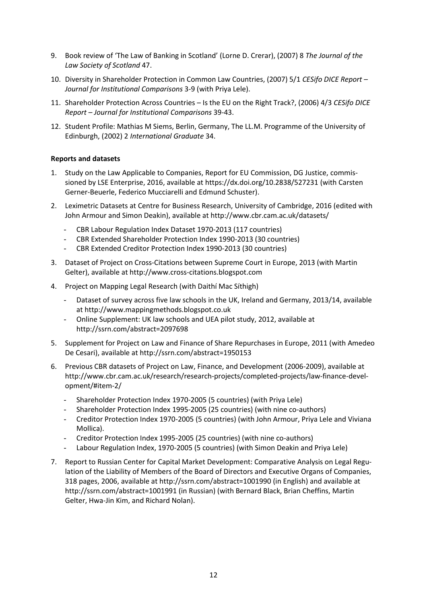- 9. Book review of 'The Law of Banking in Scotland' (Lorne D. Crerar), (2007) 8 *The Journal of the Law Society of Scotland* 47.
- 10. Diversity in Shareholder Protection in Common Law Countries, (2007) 5/1 *CESifo DICE Report – Journal for Institutional Comparisons* 3-9 (with Priya Lele).
- 11. Shareholder Protection Across Countries Is the EU on the Right Track?, (2006) 4/3 *CESifo DICE Report – Journal for Institutional Comparisons* 39-43.
- 12. Student Profile: Mathias M Siems, Berlin, Germany, The LL.M. Programme of the University of Edinburgh, (2002) 2 *International Graduate* 34.

## **Reports and datasets**

- 1. Study on the Law Applicable to Companies, Report for EU Commission, DG Justice, commissioned by LSE Enterprise, 2016, available at https://dx.doi.org/10.2838/527231 (with Carsten Gerner-Beuerle, Federico Mucciarelli and Edmund Schuster).
- 2. Leximetric Datasets at Centre for Business Research, University of Cambridge, 2016 (edited with John Armour and Simon Deakin), available at http://www.cbr.cam.ac.uk/datasets/
	- CBR Labour Regulation Index Dataset 1970-2013 (117 countries)
	- CBR Extended Shareholder Protection Index 1990-2013 (30 countries)
	- CBR Extended Creditor Protection Index 1990-2013 (30 countries)
- 3. Dataset of Project on Cross-Citations between Supreme Court in Europe, 2013 (with Martin Gelter), available at http://www.cross-citations.blogspot.com
- 4. Project on Mapping Legal Research (with Daithí Mac Síthigh)
	- Dataset of survey across five law schools in the UK, Ireland and Germany, 2013/14, available at http://www.mappingmethods.blogspot.co.uk
	- Online Supplement: UK law schools and UEA pilot study, 2012, available at http://ssrn.com/abstract=2097698
- 5. Supplement for Project on Law and Finance of Share Repurchases in Europe, 2011 (with Amedeo De Cesari), available at http://ssrn.com/abstract=1950153
- 6. Previous CBR datasets of Project on Law, Finance, and Development (2006-2009), available at http://www.cbr.cam.ac.uk/research/research-projects/completed-projects/law-finance-development/#item-2/
	- Shareholder Protection Index 1970-2005 (5 countries) (with Priya Lele)
	- Shareholder Protection Index 1995-2005 (25 countries) (with nine co-authors)
	- Creditor Protection Index 1970-2005 (5 countries) (with John Armour, Priya Lele and Viviana Mollica).
	- Creditor Protection Index 1995-2005 (25 countries) (with nine co-authors)
	- Labour Regulation Index, 1970-2005 (5 countries) (with Simon Deakin and Priya Lele)
- 7. Report to Russian Center for Capital Market Development: Comparative Analysis on Legal Regulation of the Liability of Members of the Board of Directors and Executive Organs of Companies, 318 pages, 2006, available at http://ssrn.com/abstract=1001990 (in English) and available at http://ssrn.com/abstract=1001991 (in Russian) (with Bernard Black, Brian Cheffins, Martin Gelter, Hwa-Jin Kim, and Richard Nolan).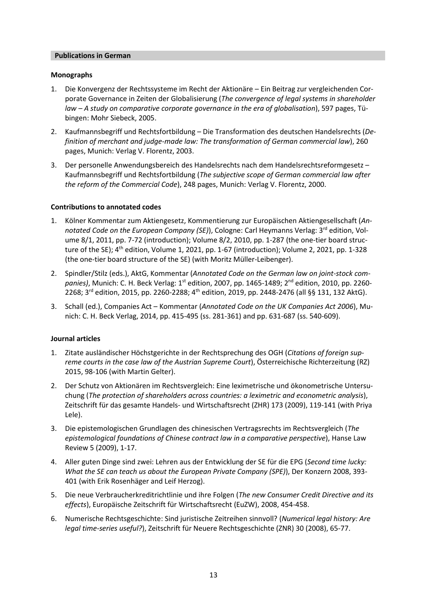## **Publications in German**

## **Monographs**

- 1. Die Konvergenz der Rechtssysteme im Recht der Aktionäre Ein Beitrag zur vergleichenden Corporate Governance in Zeiten der Globalisierung (*The convergence of legal systems in shareholder law – A study on comparative corporate governance in the era of globalisation*), 597 pages, Tübingen: Mohr Siebeck, 2005.
- 2. Kaufmannsbegriff und Rechtsfortbildung Die Transformation des deutschen Handelsrechts (*Definition of merchant and judge-made law: The transformation of German commercial law*), 260 pages, Munich: Verlag V. Florentz, 2003.
- 3. Der personelle Anwendungsbereich des Handelsrechts nach dem Handelsrechtsreformgesetz Kaufmannsbegriff und Rechtsfortbildung (*The subjective scope of German commercial law after the reform of the Commercial Code*), 248 pages, Munich: Verlag V. Florentz, 2000.

## **Contributions to annotated codes**

- 1. Kölner Kommentar zum Aktiengesetz, Kommentierung zur Europäischen Aktiengesellschaft (*Annotated Code on the European Company (SE)), Cologne: Carl Heymanns Verlag: 3<sup>rd</sup> edition, Vol*ume 8/1, 2011, pp. 7-72 (introduction); Volume 8/2, 2010, pp. 1-287 (the one-tier board structure of the SE); 4<sup>th</sup> edition, Volume 1, 2021, pp. 1-67 (introduction); Volume 2, 2021, pp. 1-328 (the one-tier board structure of the SE) (with Moritz Müller-Leibenger).
- 2. Spindler/Stilz (eds.), AktG, Kommentar (*Annotated Code on the German law on joint-stock com*panies), Munich: C. H. Beck Verlag: 1<sup>st</sup> edition, 2007, pp. 1465-1489; 2<sup>nd</sup> edition, 2010, pp. 2260-2268; 3<sup>rd</sup> edition, 2015, pp. 2260-2288; 4<sup>th</sup> edition, 2019, pp. 2448-2476 (all §§ 131, 132 AktG).
- 3. Schall (ed.), Companies Act Kommentar (*Annotated Code on the UK Companies Act 2006*), Munich: C. H. Beck Verlag, 2014, pp. 415-495 (ss. 281-361) and pp. 631-687 (ss. 540-609).

## **Journal articles**

- 1. Zitate ausländischer Höchstgerichte in der Rechtsprechung des OGH (*Citations of foreign supreme courts in the case law of the Austrian Supreme Court*), Österreichische Richterzeitung (RZ) 2015, 98-106 (with Martin Gelter).
- 2. Der Schutz von Aktionären im Rechtsvergleich: Eine leximetrische und ökonometrische Untersuchung (*The protection of shareholders across countries: a leximetric and econometric analysis*), Zeitschrift für das gesamte Handels- und Wirtschaftsrecht (ZHR) 173 (2009), 119-141 (with Priya Lele).
- 3. Die epistemologischen Grundlagen des chinesischen Vertragsrechts im Rechtsvergleich (*The epistemological foundations of Chinese contract law in a comparative perspective*), Hanse Law Review 5 (2009), 1-17.
- 4. Aller guten Dinge sind zwei: Lehren aus der Entwicklung der SE für die EPG (*Second time lucky: What the SE can teach us about the European Private Company (SPE)*), Der Konzern 2008, 393- 401 (with Erik Rosenhäger and Leif Herzog).
- 5. Die neue Verbraucherkreditrichtlinie und ihre Folgen (*The new Consumer Credit Directive and its effects*), Europäische Zeitschrift für Wirtschaftsrecht (EuZW), 2008, 454-458.
- 6. Numerische Rechtsgeschichte: Sind juristische Zeitreihen sinnvoll? (*Numerical legal history: Are legal time-series useful?*), Zeitschrift für Neuere Rechtsgeschichte (ZNR) 30 (2008), 65-77.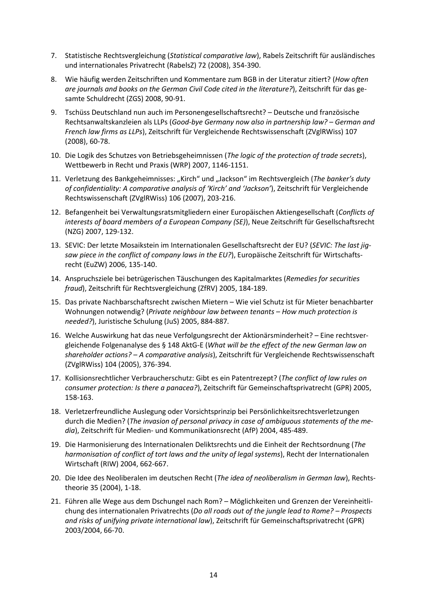- 7. Statistische Rechtsvergleichung (*Statistical comparative law*), Rabels Zeitschrift für ausländisches und internationales Privatrecht (RabelsZ) 72 (2008), 354-390.
- 8. Wie häufig werden Zeitschriften und Kommentare zum BGB in der Literatur zitiert? (*How often are journals and books on the German Civil Code cited in the literature?*), Zeitschrift für das gesamte Schuldrecht (ZGS) 2008, 90-91.
- 9. Tschüss Deutschland nun auch im Personengesellschaftsrecht? Deutsche und französische Rechtsanwaltskanzleien als LLPs (*Good-bye Germany now also in partnership law? – German and French law firms as LLPs*), Zeitschrift für Vergleichende Rechtswissenschaft (ZVglRWiss) 107 (2008), 60-78.
- 10. Die Logik des Schutzes von Betriebsgeheimnissen (*The logic of the protection of trade secrets*), Wettbewerb in Recht und Praxis (WRP) 2007, 1146-1151.
- 11. Verletzung des Bankgeheimnisses: "Kirch" und "Jackson" im Rechtsvergleich (*The banker's duty of confidentiality: A comparative analysis of 'Kirch' and 'Jackson'*), Zeitschrift für Vergleichende Rechtswissenschaft (ZVglRWiss) 106 (2007), 203-216.
- 12. Befangenheit bei Verwaltungsratsmitgliedern einer Europäischen Aktiengesellschaft (*Conflicts of interests of board members of a European Company (SE)*), Neue Zeitschrift für Gesellschaftsrecht (NZG) 2007, 129-132.
- 13. SEVIC: Der letzte Mosaikstein im Internationalen Gesellschaftsrecht der EU? (*SEVIC: The last jigsaw piece in the conflict of company laws in the EU?*), Europäische Zeitschrift für Wirtschaftsrecht (EuZW) 2006, 135-140.
- 14. Anspruchsziele bei betrügerischen Täuschungen des Kapitalmarktes (*Remedies for securities fraud*), Zeitschrift für Rechtsvergleichung (ZfRV) 2005, 184-189.
- 15. Das private Nachbarschaftsrecht zwischen Mietern Wie viel Schutz ist für Mieter benachbarter Wohnungen notwendig? (*Private neighbour law between tenants – How much protection is needed?*), Juristische Schulung (JuS) 2005, 884-887*.*
- 16. Welche Auswirkung hat das neue Verfolgungsrecht der Aktionärsminderheit? Eine rechtsvergleichende Folgenanalyse des § 148 AktG-E (*What will be the effect of the new German law on shareholder actions? – A comparative analysis*), Zeitschrift für Vergleichende Rechtswissenschaft (ZVglRWiss) 104 (2005), 376-394*.*
- 17. Kollisionsrechtlicher Verbraucherschutz: Gibt es ein Patentrezept? (*The conflict of law rules on consumer protection: Is there a panacea?*), Zeitschrift für Gemeinschaftsprivatrecht (GPR) 2005, 158-163.
- 18. Verletzerfreundliche Auslegung oder Vorsichtsprinzip bei Persönlichkeitsrechtsverletzungen durch die Medien? (*The invasion of personal privacy in case of ambiguous statements of the media*), Zeitschrift für Medien- und Kommunikationsrecht (AfP) 2004, 485-489.
- 19. Die Harmonisierung des Internationalen Deliktsrechts und die Einheit der Rechtsordnung (*The harmonisation of conflict of tort laws and the unity of legal systems*), Recht der Internationalen Wirtschaft (RIW) 2004, 662-667.
- 20. Die Idee des Neoliberalen im deutschen Recht (*The idea of neoliberalism in German law*), Rechtstheorie 35 (2004), 1-18.
- 21. Führen alle Wege aus dem Dschungel nach Rom? Möglichkeiten und Grenzen der Vereinheitlichung des internationalen Privatrechts (*Do all roads out of the jungle lead to Rome? – Prospects and risks of unifying private international law*), Zeitschrift für Gemeinschaftsprivatrecht (GPR) 2003/2004, 66-70.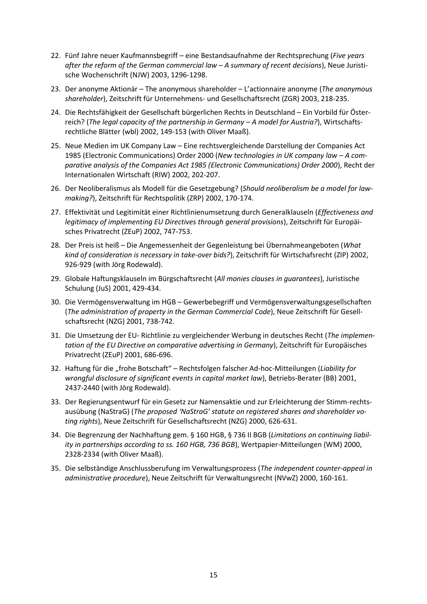- 22. Fünf Jahre neuer Kaufmannsbegriff eine Bestandsaufnahme der Rechtsprechung (*Five years after the reform of the German commercial law – A summary of recent decisions*), Neue Juristische Wochenschrift (NJW) 2003, 1296-1298.
- 23. Der anonyme Aktionär The anonymous shareholder L'actionnaire anonyme (*The anonymous shareholder*), Zeitschrift für Unternehmens- und Gesellschaftsrecht (ZGR) 2003, 218-235.
- 24. Die Rechtsfähigkeit der Gesellschaft bürgerlichen Rechts in Deutschland Ein Vorbild für Österreich? (*The legal capacity of the partnership in Germany – A model for Austria?*), Wirtschaftsrechtliche Blätter (wbl) 2002, 149-153 (with Oliver Maaß).
- 25. Neue Medien im UK Company Law Eine rechtsvergleichende Darstellung der Companies Act 1985 (Electronic Communications) Order 2000 (*New technologies in UK company law – A comparative analysis of the Companies Act 1985 (Electronic Communications) Order 2000*), Recht der Internationalen Wirtschaft (RIW) 2002, 202-207.
- 26. Der Neoliberalismus als Modell für die Gesetzgebung? (*Should neoliberalism be a model for lawmaking?*), Zeitschrift für Rechtspolitik (ZRP) 2002, 170-174.
- 27. Effektivität und Legitimität einer Richtlinienumsetzung durch Generalklauseln (*Effectiveness and legitimacy of implementing EU Directives through general provisions*), Zeitschrift für Europäisches Privatrecht (ZEuP) 2002, 747-753.
- 28. Der Preis ist heiß Die Angemessenheit der Gegenleistung bei Übernahmeangeboten (*What kind of consideration is necessary in take-over bids?*), Zeitschrift für Wirtschafsrecht (ZIP) 2002, 926-929 (with Jörg Rodewald).
- 29. Globale Haftungsklauseln im Bürgschaftsrecht (*All monies clauses in guarantees*), Juristische Schulung (JuS) 2001, 429-434.
- 30. Die Vermögensverwaltung im HGB Gewerbebegriff und Vermögensverwaltungsgesellschaften (*The administration of property in the German Commercial Code*), Neue Zeitschrift für Gesellschaftsrecht (NZG) 2001, 738-742.
- 31. Die Umsetzung der EU- Richtlinie zu vergleichender Werbung in deutsches Recht (*The implementation of the EU Directive on comparative advertising in Germany*), Zeitschrift für Europäisches Privatrecht (ZEuP) 2001, 686-696.
- 32. Haftung für die "frohe Botschaft" Rechtsfolgen falscher Ad-hoc-Mitteilungen (Liability for *wrongful disclosure of significant events in capital market law*), Betriebs-Berater (BB) 2001, 2437-2440 (with Jörg Rodewald).
- 33. Der Regierungsentwurf für ein Gesetz zur Namensaktie und zur Erleichterung der Stimm-rechtsausübung (NaStraG) (*The proposed 'NaStraG' statute on registered shares and shareholder voting rights*), Neue Zeitschrift für Gesellschaftsrecht (NZG) 2000, 626-631.
- 34. Die Begrenzung der Nachhaftung gem. § 160 HGB, § 736 II BGB (*Limitations on continuing liability in partnerships according to ss. 160 HGB, 736 BGB*), Wertpapier-Mitteilungen (WM) 2000, 2328-2334 (with Oliver Maaß).
- 35. Die selbständige Anschlussberufung im Verwaltungsprozess (*The independent counter-appeal in administrative procedure*), Neue Zeitschrift für Verwaltungsrecht (NVwZ) 2000, 160-161.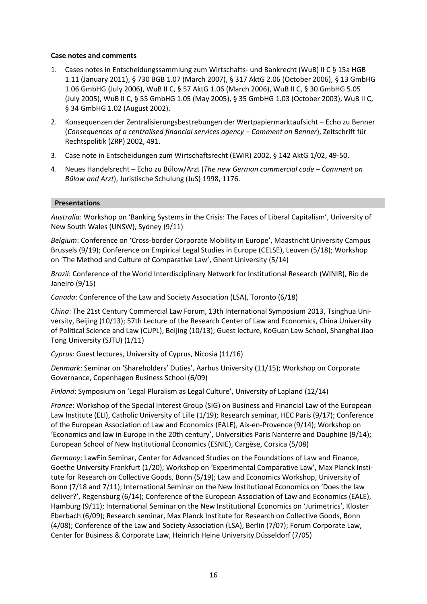# **Case notes and comments**

- 1. Cases notes in Entscheidungssammlung zum Wirtschafts- und Bankrecht (WuB) II C § 15a HGB 1.11 (January 2011), § 730 BGB 1.07 (March 2007), § 317 AktG 2.06 (October 2006), § 13 GmbHG 1.06 GmbHG (July 2006), WuB II C, § 57 AktG 1.06 (March 2006), WuB II C, § 30 GmbHG 5.05 (July 2005), WuB II C, § 55 GmbHG 1.05 (May 2005), § 35 GmbHG 1.03 (October 2003), WuB II C, § 34 GmbHG 1.02 (August 2002).
- 2. Konsequenzen der Zentralisierungsbestrebungen der Wertpapiermarktaufsicht Echo zu Benner (*Consequences of a centralised financial services agency – Comment on Benner*), Zeitschrift für Rechtspolitik (ZRP) 2002, 491.
- 3. Case note in Entscheidungen zum Wirtschaftsrecht (EWiR) 2002, § 142 AktG 1/02, 49-50.
- 4. Neues Handelsrecht Echo zu Bülow/Arzt (*The new German commercial code – Comment on Bülow and Arzt*), Juristische Schulung (JuS) 1998, 1176.

# **Presentations**

*Australia*: Workshop on 'Banking Systems in the Crisis: The Faces of Liberal Capitalism', University of New South Wales (UNSW), Sydney (9/11)

*Belgium*: Conference on 'Cross-border Corporate Mobility in Europe', Maastricht University Campus Brussels (9/19); Conference on Empirical Legal Studies in Europe (CELSE), Leuven (5/18); Workshop on 'The Method and Culture of Comparative Law', Ghent University (5/14)

*Brazil*: Conference of the World Interdisciplinary Network for Institutional Research (WINIR), Rio de Janeiro (9/15)

*Canada*: Conference of the Law and Society Association (LSA), Toronto (6/18)

*China*: The 21st Century Commercial Law Forum, 13th International Symposium 2013, Tsinghua University, Beijing (10/13); 57th Lecture of the Research Center of Law and Economics, China University of Political Science and Law (CUPL), Beijing (10/13); Guest lecture, KoGuan Law School, Shanghai Jiao Tong University (SJTU) (1/11)

*Cyprus*: Guest lectures, University of Cyprus, Nicosia (11/16)

*Denmark*: Seminar on 'Shareholders' Duties', Aarhus University (11/15); Workshop on Corporate Governance, Copenhagen Business School (6/09)

*Finland*: Symposium on 'Legal Pluralism as Legal Culture', University of Lapland (12/14)

*France*: Workshop of the Special Interest Group (SIG) on Business and Financial Law of the European Law Institute (ELI), Catholic University of Lille (1/19); Research seminar, HEC Paris (9/17); Conference of the European Association of Law and Economics (EALE), Aix-en-Provence (9/14); Workshop on 'Economics and law in Europe in the 20th century', Universities Paris Nanterre and Dauphine (9/14); European School of New Institutional Economics (ESNIE), Cargèse, Corsica (5/08)

*Germany*: LawFin Seminar, Center for Advanced Studies on the Foundations of Law and Finance, Goethe University Frankfurt (1/20); Workshop on 'Experimental Comparative Law', Max Planck Institute for Research on Collective Goods, Bonn (5/19); Law and Economics Workshop, University of Bonn (7/18 and 7/11); International Seminar on the New Institutional Economics on 'Does the law deliver?', Regensburg (6/14); Conference of the European Association of Law and Economics (EALE), Hamburg (9/11); International Seminar on the New Institutional Economics on 'Jurimetrics', Kloster Eberbach (6/09); Research seminar, Max Planck Institute for Research on Collective Goods, Bonn (4/08); Conference of the Law and Society Association (LSA), Berlin (7/07); Forum Corporate Law, Center for Business & Corporate Law, Heinrich Heine University Düsseldorf (7/05)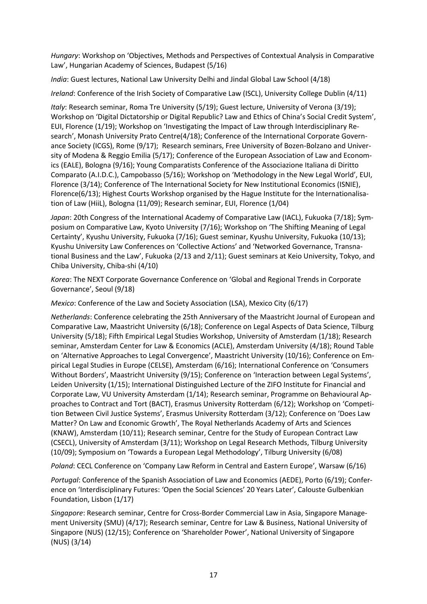*Hungary*: Workshop on 'Objectives, Methods and Perspectives of Contextual Analysis in Comparative Law', Hungarian Academy of Sciences, Budapest (5/16)

*India*: Guest lectures, National Law University Delhi and Jindal Global Law School (4/18)

*Ireland*: Conference of the Irish Society of Comparative Law (ISCL), University College Dublin (4/11)

*Italy*: Research seminar, Roma Tre University (5/19); Guest lecture, University of Verona (3/19); Workshop on 'Digital Dictatorship or Digital Republic? Law and Ethics of China's Social Credit System', EUI, Florence (1/19); Workshop on 'Investigating the Impact of Law through Interdisciplinary Research', Monash University Prato Centre(4/18); Conference of the International Corporate Governance Society (ICGS), Rome (9/17); Research seminars, Free University of Bozen-Bolzano and University of Modena & Reggio Emilia (5/17); Conference of the European Association of Law and Economics (EALE), Bologna (9/16); Young Comparatists Conference of the Associazione Italiana di Diritto Comparato (A.I.D.C.), Campobasso (5/16); Workshop on 'Methodology in the New Legal World', EUI, Florence (3/14); Conference of The International Society for New Institutional Economics (ISNIE), Florence(6/13); Highest Courts Workshop organised by the Hague Institute for the Internationalisation of Law (HiiL), Bologna (11/09); Research seminar, EUI, Florence (1/04)

*Japan*: 20th Congress of the International Academy of Comparative Law (IACL), Fukuoka (7/18); Symposium on Comparative Law, Kyoto University (7/16); Workshop on 'The Shifting Meaning of Legal Certainty', Kyushu University, Fukuoka (7/16); Guest seminar, Kyushu University, Fukuoka (10/13); Kyushu University Law Conferences on 'Collective Actions' and 'Networked Governance, Transnational Business and the Law', Fukuoka (2/13 and 2/11); Guest seminars at Keio University, Tokyo, and Chiba University, Chiba-shi (4/10)

*Korea*: The NEXT Corporate Governance Conference on 'Global and Regional Trends in Corporate Governance', Seoul (9/18)

*Mexico*: Conference of the Law and Society Association (LSA), Mexico City (6/17)

*Netherlands*: Conference celebrating the 25th Anniversary of the Maastricht Journal of European and Comparative Law, Maastricht University (6/18); Conference on Legal Aspects of Data Science, Tilburg University (5/18); Fifth Empirical Legal Studies Workshop, University of Amsterdam (1/18); Research seminar, Amsterdam Center for Law & Economics (ACLE), Amsterdam University (4/18); Round Table on 'Alternative Approaches to Legal Convergence', Maastricht University (10/16); Conference on Empirical Legal Studies in Europe (CELSE), Amsterdam (6/16); International Conference on 'Consumers Without Borders', Maastricht University (9/15); Conference on 'Interaction between Legal Systems', Leiden University (1/15); International Distinguished Lecture of the ZIFO Institute for Financial and Corporate Law, VU University Amsterdam (1/14); Research seminar, Programme on Behavioural Approaches to Contract and Tort (BACT), Erasmus University Rotterdam (6/12); Workshop on 'Competition Between Civil Justice Systems', Erasmus University Rotterdam (3/12); Conference on 'Does Law Matter? On Law and Economic Growth', The Royal Netherlands Academy of Arts and Sciences (KNAW), Amsterdam (10/11); Research seminar, Centre for the Study of European Contract Law (CSECL), University of Amsterdam (3/11); Workshop on Legal Research Methods, Tilburg University (10/09); Symposium on 'Towards a European Legal Methodology', Tilburg University (6/08)

*Poland*: CECL Conference on 'Company Law Reform in Central and Eastern Europe', Warsaw (6/16)

*Portugal*: Conference of the Spanish Association of Law and Economics (AEDE), Porto (6/19); Conference on 'Interdisciplinary Futures: 'Open the Social Sciences' 20 Years Later', Calouste Gulbenkian Foundation, Lisbon (1/17)

*Singapore*: Research seminar, Centre for Cross-Borde[r Commercial Law in Asia,](http://centres.smu.edu.sg/cebcla/) Singapore Management University (SMU) (4/17); Research seminar, Centre for Law & Business, National University of Singapore (NUS) (12/15); Conference on 'Shareholder Power', National University of Singapore (NUS) (3/14)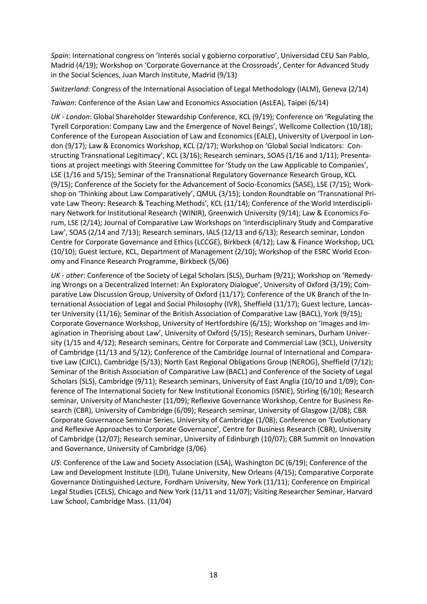*Spain*: International congress on 'Interés social y gobierno corporativo', Universidad CEU San Pablo, Madrid (4/19); Workshop on 'Corporate Governance at the Crossroads', Center for Advanced Study in the Social Sciences, Juan March Institute, Madrid (9/13)

*Switzerland*: Congress of the International Association of Legal Methodology (IALM), Geneva (2/14)

*Taiwan*: Conference of the Asian Law and Economics Association (AsLEA), Taipei (6/14)

*UK - London*: Global Shareholder Stewardship Conference, KCL (9/19); Conference on 'Regulating the Tyrell Corporation: Company Law and the Emergence of Novel Beings', Wellcome Collection (10/18); Conference of the European Association of Law and Economics (EALE), University of Liverpool in London (9/17); Law & Economics Workshop, KCL (2/17); Workshop on 'Global Social Indicators: Constructing Transnational Legitimacy', KCL (3/16); Research seminars, SOAS (1/16 and 1/11); Presentations at project meetings with Steering Committee for 'Study on the Law Applicable to Companies', LSE (1/16 and 5/15); Seminar of the Transnational Regulatory Governance Research Group, KCL (9/15); Conference of the Society for the Advancement of Socio-Economics (SASE), LSE (7/15); Workshop on 'Thinking about Law Comparatively', QMUL (3/15); London Roundtable on 'Transnational Private Law Theory: Research & Teaching Methods', KCL (11/14); Conference of the World Interdisciplinary Network for Institutional Research (WINIR), Greenwich University (9/14); Law & Economics Forum, LSE (2/14); Journal of Comparative Law Workshops on 'Interdisciplinary Study and Comparative Law', SOAS (2/14 and 7/13); Research seminars, IALS (12/13 and 6/13); Research seminar, London Centre for Corporate Governance and Ethics (LCCGE), Birkbeck (4/12); Law & Finance Workshop, UCL (10/10); Guest lecture, KCL, Department of Management (2/10); Workshop of the ESRC World Economy and Finance Research Programme, Birkbeck (5/06)

*UK - other*: Conference of the Society of Legal Scholars (SLS), Durham (9/21); Workshop on 'Remedying Wrongs on a Decentralized Internet: An Exploratory Dialogue', University of Oxford (3/19); Comparative Law Discussion Group, University of Oxford (11/17); Conference of the UK Branch of the International Association of Legal and Social Philosophy (IVR), Sheffield (11/17); Guest lecture, Lancaster University (11/16); Seminar of the British Association of Comparative Law (BACL), York (9/15); Corporate Governance Workshop, University of Hertfordshire (6/15); Workshop on 'Images and Imagination in Theorising about Law', University of Oxford (5/15); Research seminars, Durham University (1/15 and 4/12); Research seminars, Centre for Corporate and Commercial Law (3CL), University of Cambridge (11/13 and 5/12); Conference of the Cambridge Journal of International and Comparative Law (CJICL), Cambridge (5/13); North East Regional Obligations Group (NEROG), Sheffield (7/12); Seminar of the British Association of Comparative Law (BACL) and Conference of the Society of Legal Scholars (SLS), Cambridge (9/11); Research seminars, University of East Anglia (10/10 and 1/09); Conference of The International Society for New Institutional Economics (ISNIE), Stirling (6/10); Research seminar, University of Manchester (11/09); Reflexive Governance Workshop, Centre for Business Research (CBR), University of Cambridge (6/09); Research seminar, University of Glasgow (2/08); CBR Corporate Governance Seminar Series, University of Cambridge (1/08); Conference on 'Evolutionary and Reflexive Approaches to Corporate Governance', Centre for Business Research (CBR), University of Cambridge (12/07); Research seminar, University of Edinburgh (10/07); CBR Summit on Innovation and Governance, University of Cambridge (3/06)

*US*: Conference of the Law and Society Association (LSA), Washington DC (6/19); Conference of the Law and Development Institute (LDI), Tulane University, New Orleans (4/15); Comparative Corporate Governance Distinguished Lecture, Fordham University, New York (11/11); Conference on Empirical Legal Studies (CELS), Chicago and New York (11/11 and 11/07); Visiting Researcher Seminar, Harvard Law School, Cambridge Mass. (11/04)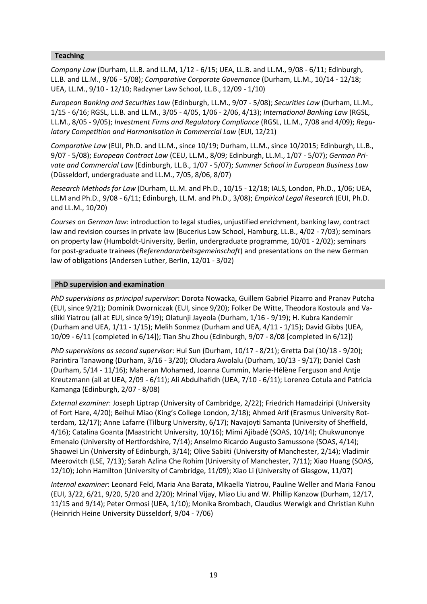# **Teaching**

*Company Law* (Durham, LL.B. and LL.M, 1/12 - 6/15; UEA, LL.B. and LL.M., 9/08 - 6/11; Edinburgh, LL.B. and LL.M., 9/06 - 5/08); *Comparative Corporate Governance* (Durham, LL.M., 10/14 - 12/18; UEA, LL.M., 9/10 - 12/10; Radzyner Law School, LL.B., 12/09 - 1/10)

*European Banking and Securities Law* (Edinburgh, LL.M., 9/07 - 5/08); *Securities Law* (Durham, LL.M., 1/15 - 6/16; RGSL, LL.B. and LL.M., 3/05 - 4/05, 1/06 - 2/06, 4/13); *International Banking Law* (RGSL, LL.M., 8/05 - 9/05); *Investment Firms and Regulatory Compliance* (RGSL, LL.M., 7/08 and 4/09); *Regulatory Competition and Harmonisation in Commercial Law* (EUI, 12/21)

*Comparative Law* (EUI, Ph.D. and LL.M., since 10/19; Durham, LL.M., since 10/2015; Edinburgh, LL.B., 9/07 - 5/08); *European Contract Law* (CEU, LL.M., 8/09; Edinburgh, LL.M., 1/07 - 5/07); *German Private and Commercial Law* (Edinburgh, LL.B., 1/07 - 5/07); *Summer School in European Business Law* (Düsseldorf, undergraduate and LL.M., 7/05, 8/06, 8/07)

*Research Methods for Law* (Durham, LL.M. and Ph.D., 10/15 - 12/18; IALS, London, Ph.D., 1/06; UEA, LL.M and Ph.D., 9/08 - 6/11; Edinburgh, LL.M. and Ph.D., 3/08); *Empirical Legal Research* (EUI, Ph.D. and LL.M., 10/20)

*Courses on German law*: introduction to legal studies, unjustified enrichment, banking law, contract law and revision courses in private law (Bucerius Law School, Hamburg, LL.B., 4/02 - 7/03); seminars on property law (Humboldt-University, Berlin, undergraduate programme, 10/01 - 2/02); seminars for post-graduate trainees (*Referendararbeitsgemeinschaft*) and presentations on the new German law of obligations (Andersen Luther, Berlin, 12/01 - 3/02)

## **PhD supervision and examination**

*PhD supervisions as principal supervisor*: Dorota Nowacka, Guillem Gabriel Pizarro and Pranav Putcha (EUI, since 9/21); Dominik Dworniczak (EUI, since 9/20); Folker De Witte, Theodora Kostoula and Vasiliki Yiatrou (all at EUI, since 9/19); Olatunji Jayeola (Durham, 1/16 - 9/19); H. Kubra Kandemir (Durham and UEA, 1/11 - 1/15); Melih Sonmez (Durham and UEA, 4/11 - 1/15); David Gibbs (UEA, 10/09 - 6/11 [completed in 6/14]); Tian Shu Zhou (Edinburgh, 9/07 - 8/08 [completed in 6/12])

*PhD supervisions as second supervisor*: Hui Sun (Durham, 10/17 - 8/21); Gretta Dai (10/18 - 9/20); Parintira Tanawong (Durham, 3/16 - 3/20); Oludara Awolalu (Durham, 10/13 - 9/17); Daniel Cash (Durham, 5/14 - 11/16); Maheran Mohamed, Joanna Cummin, Marie-Hélène Ferguson and Antje Kreutzmann (all at UEA, 2/09 - 6/11); Ali Abdulhafidh (UEA, 7/10 - 6/11); Lorenzo Cotula and Patricia Kamanga (Edinburgh, 2/07 - 8/08)

*External examiner*: Joseph Liptrap (University of Cambridge, 2/22); Friedrich Hamadziripi (University of Fort Hare, 4/20); Beihui Miao (King's College London, 2/18); Ahmed Arif (Erasmus University Rotterdam, 12/17); Anne Lafarre (Tilburg University, 6/17); Navajoyti Samanta (University of Sheffield, 4/16); Catalina Goanta (Maastricht University, 10/16); Mimi Ajibadé (SOAS, 10/14); Chukwunonye Emenalo (University of Hertfordshire, 7/14); Anselmo Ricardo Augusto Samussone (SOAS, 4/14); Shaowei Lin (University of Edinburgh, 3/14); Olive Sabiiti (University of Manchester, 2/14); Vladimir Meerovitch (LSE, 7/13); Sarah Azlina Che Rohim (University of Manchester, 7/11); Xiao Huang (SOAS, 12/10); John Hamilton (University of Cambridge, 11/09); Xiao Li (University of Glasgow, 11/07)

*Internal examiner*: Leonard Feld, Maria Ana Barata, Mikaella Yiatrou, Pauline Weller and Maria Fanou (EUI, 3/22, 6/21, 9/20, 5/20 and 2/20); Mrinal Vijay, Miao Liu and W. Phillip Kanzow (Durham, 12/17, 11/15 and 9/14); Peter Ormosi (UEA, 1/10); Monika Brombach, Claudius Werwigk and Christian Kuhn (Heinrich Heine University Düsseldorf, 9/04 - 7/06)